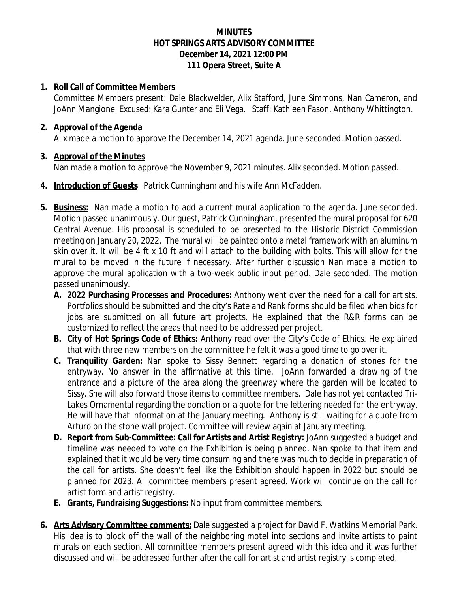### **MINUTES HOT SPRINGS ARTS ADVISORY COMMITTEE December 14, 2021 12:00 PM 111 Opera Street, Suite A**

#### **1. Roll Call of Committee Members**

Committee Members present: Dale Blackwelder, Alix Stafford, June Simmons, Nan Cameron, and JoAnn Mangione. Excused: Kara Gunter and Eli Vega. Staff: Kathleen Fason, Anthony Whittington.

#### **2. Approval of the Agenda**

Alix made a motion to approve the December 14, 2021 agenda. June seconded. Motion passed.

## **3. Approval of the Minutes**

Nan made a motion to approve the November 9, 2021 minutes. Alix seconded. Motion passed.

- **4. Introduction of Guests** Patrick Cunningham and his wife Ann McFadden.
- **5. Business:** Nan made a motion to add a current mural application to the agenda. June seconded. Motion passed unanimously. Our guest, Patrick Cunningham, presented the mural proposal for 620 Central Avenue. His proposal is scheduled to be presented to the Historic District Commission meeting on January 20, 2022. The mural will be painted onto a metal framework with an aluminum skin over it. It will be 4 ft x 10 ft and will attach to the building with bolts. This will allow for the mural to be moved in the future if necessary. After further discussion Nan made a motion to approve the mural application with a two-week public input period. Dale seconded. The motion passed unanimously.
	- **A. 2022 Purchasing Processes and Procedures:** Anthony went over the need for a call for artists. Portfolios should be submitted and the city's Rate and Rank forms should be filed when bids for jobs are submitted on all future art projects. He explained that the R&R forms can be customized to reflect the areas that need to be addressed per project.
	- **B. City of Hot Springs Code of Ethics:** Anthony read over the City's Code of Ethics. He explained that with three new members on the committee he felt it was a good time to go over it.
	- **C. Tranquility Garden:** Nan spoke to Sissy Bennett regarding a donation of stones for the entryway. No answer in the affirmative at this time. JoAnn forwarded a drawing of the entrance and a picture of the area along the greenway where the garden will be located to Sissy. She will also forward those items to committee members. Dale has not yet contacted Tri-Lakes Ornamental regarding the donation or a quote for the lettering needed for the entryway. He will have that information at the January meeting. Anthony is still waiting for a quote from Arturo on the stone wall project. Committee will review again at January meeting.
	- **D. Report from Sub-Committee: Call for Artists and Artist Registry:** JoAnn suggested a budget and timeline was needed to vote on the Exhibition is being planned. Nan spoke to that item and explained that it would be very time consuming and there was much to decide in preparation of the call for artists. She doesn't feel like the Exhibition should happen in 2022 but should be planned for 2023. All committee members present agreed. Work will continue on the call for artist form and artist registry.
	- **E. Grants, Fundraising Suggestions:** No input from committee members.
- **6. Arts Advisory Committee comments:** Dale suggested a project for David F. Watkins Memorial Park. His idea is to block off the wall of the neighboring motel into sections and invite artists to paint murals on each section. All committee members present agreed with this idea and it was further discussed and will be addressed further after the call for artist and artist registry is completed.